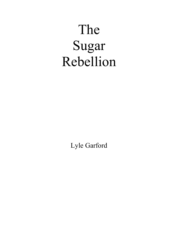## The Sugar Rebellion

Lyle Garford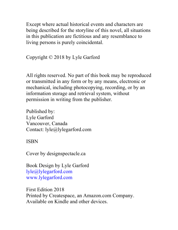Except where actual historical events and characters are being described for the storyline of this novel, all situations in this publication are fictitious and any resemblance to living persons is purely coincidental.

Copyright © 2018 by Lyle Garford

All rights reserved. No part of this book may be reproduced or transmitted in any form or by any means, electronic or mechanical, including photocopying, recording, or by an information storage and retrieval system, without permission in writing from the publisher.

Published by: Lyle Garford Vancouver, Canada Contact: lyle@lylegarford.com

## ISBN

Cover by designspectacle.ca

Book Design by Lyle Garford lyle@lylegarford.com www.lylegarford.com

First Edition 2018 Printed by Createspace, an Amazon.com Company. Available on Kindle and other devices.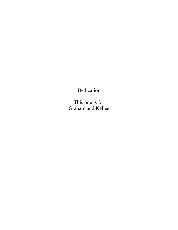Dedication

This one is for Graham and Kellee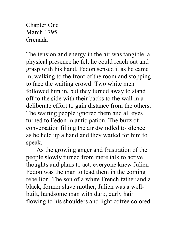Chapter One March 1795 Grenada

The tension and energy in the air was tangible, a physical presence he felt he could reach out and grasp with his hand. Fedon sensed it as he came in, walking to the front of the room and stopping to face the waiting crowd. Two white men followed him in, but they turned away to stand off to the side with their backs to the wall in a deliberate effort to gain distance from the others. The waiting people ignored them and all eyes turned to Fedon in anticipation. The buzz of conversation filling the air dwindled to silence as he held up a hand and they waited for him to speak.

As the growing anger and frustration of the people slowly turned from mere talk to active thoughts and plans to act, everyone knew Julien Fedon was the man to lead them in the coming rebellion. The son of a white French father and a black, former slave mother, Julien was a wellbuilt, handsome man with dark, curly hair flowing to his shoulders and light coffee colored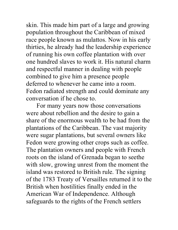skin. This made him part of a large and growing population throughout the Caribbean of mixed race people known as mulattos. Now in his early thirties, he already had the leadership experience of running his own coffee plantation with over one hundred slaves to work it. His natural charm and respectful manner in dealing with people combined to give him a presence people deferred to whenever he came into a room. Fedon radiated strength and could dominate any conversation if he chose to.

For many years now those conversations were about rebellion and the desire to gain a share of the enormous wealth to be had from the plantations of the Caribbean. The vast majority were sugar plantations, but several owners like Fedon were growing other crops such as coffee. The plantation owners and people with French roots on the island of Grenada began to seethe with slow, growing unrest from the moment the island was restored to British rule. The signing of the 1783 Treaty of Versailles returned it to the British when hostilities finally ended in the American War of Independence. Although safeguards to the rights of the French settlers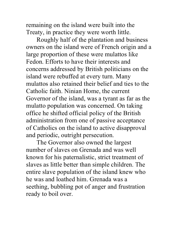remaining on the island were built into the Treaty, in practice they were worth little.

Roughly half of the plantation and business owners on the island were of French origin and a large proportion of these were mulattos like Fedon. Efforts to have their interests and concerns addressed by British politicians on the island were rebuffed at every turn. Many mulattos also retained their belief and ties to the Catholic faith. Ninian Home, the current Governor of the island, was a tyrant as far as the mulatto population was concerned. On taking office he shifted official policy of the British administration from one of passive acceptance of Catholics on the island to active disapproval and periodic, outright persecution.

The Governor also owned the largest number of slaves on Grenada and was well known for his paternalistic, strict treatment of slaves as little better than simple children. The entire slave population of the island knew who he was and loathed him. Grenada was a seething, bubbling pot of anger and frustration ready to boil over.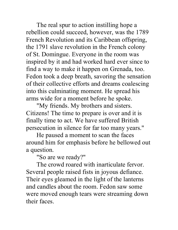The real spur to action instilling hope a rebellion could succeed, however, was the 1789 French Revolution and its Caribbean offspring, the 1791 slave revolution in the French colony of St. Domingue. Everyone in the room was inspired by it and had worked hard ever since to find a way to make it happen on Grenada, too. Fedon took a deep breath, savoring the sensation of their collective efforts and dreams coalescing into this culminating moment. He spread his arms wide for a moment before he spoke.

"My friends. My brothers and sisters. Citizens! The time to prepare is over and it is finally time to act. We have suffered British persecution in silence for far too many years."

He paused a moment to scan the faces around him for emphasis before he bellowed out a question.

"So are we ready?"

The crowd roared with inarticulate fervor. Several people raised fists in joyous defiance. Their eyes gleamed in the light of the lanterns and candles about the room. Fedon saw some were moved enough tears were streaming down their faces.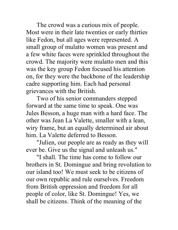The crowd was a curious mix of people. Most were in their late twenties or early thirties like Fedon, but all ages were represented. A small group of mulatto women was present and a few white faces were sprinkled throughout the crowd. The majority were mulatto men and this was the key group Fedon focused his attention on, for they were the backbone of the leadership cadre supporting him. Each had personal grievances with the British.

Two of his senior commanders stepped forward at the same time to speak. One was Jules Besson, a huge man with a hard face. The other was Jean La Valette, smaller with a lean, wiry frame, but an equally determined air about him. La Valette deferred to Besson.

"Julien, our people are as ready as they will ever be. Give us the signal and unleash us."

"I shall. The time has come to follow our brothers in St. Domingue and bring revolution to our island too! We must seek to be citizens of our own republic and rule ourselves. Freedom from British oppression and freedom for all people of color, like St. Domingue! Yes, we shall be citizens. Think of the meaning of the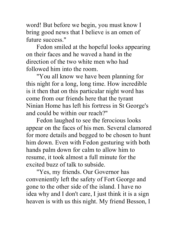word! But before we begin, you must know I bring good news that I believe is an omen of future success."

Fedon smiled at the hopeful looks appearing on their faces and he waved a hand in the direction of the two white men who had followed him into the room.

"You all know we have been planning for this night for a long, long time. How incredible is it then that on this particular night word has come from our friends here that the tyrant Ninian Home has left his fortress in St George's and could be within our reach?"

Fedon laughed to see the ferocious looks appear on the faces of his men. Several clamored for more details and begged to be chosen to hunt him down. Even with Fedon gesturing with both hands palm down for calm to allow him to resume, it took almost a full minute for the excited buzz of talk to subside.

"Yes, my friends. Our Governor has conveniently left the safety of Fort George and gone to the other side of the island. I have no idea why and I don't care, I just think it is a sign heaven is with us this night. My friend Besson, I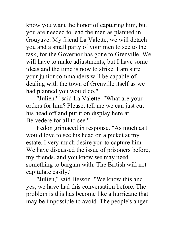know you want the honor of capturing him, but you are needed to lead the men as planned in Gouyave. My friend La Valette, we will detach you and a small party of your men to see to the task, for the Governor has gone to Grenville. We will have to make adjustments, but I have some ideas and the time is now to strike. I am sure your junior commanders will be capable of dealing with the town of Grenville itself as we had planned you would do."

"Julien?" said La Valette. "What are your orders for him? Please, tell me we can just cut his head off and put it on display here at Belvedere for all to see?"

Fedon grimaced in response. "As much as I would love to see his head on a picket at my estate, I very much desire you to capture him. We have discussed the issue of prisoners before, my friends, and you know we may need something to bargain with. The British will not capitulate easily."

"Julien," said Besson. "We know this and yes, we have had this conversation before. The problem is this has become like a hurricane that may be impossible to avoid. The people's anger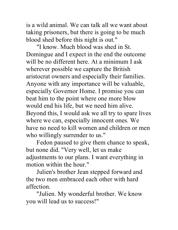is a wild animal. We can talk all we want about taking prisoners, but there is going to be much blood shed before this night is out."

"I know. Much blood was shed in St. Domingue and I expect in the end the outcome will be no different here. At a minimum I ask wherever possible we capture the British aristocrat owners and especially their families. Anyone with any importance will be valuable, especially Governor Home. I promise you can beat him to the point where one more blow would end his life, but we need him alive. Beyond this, I would ask we all try to spare lives where we can, especially innocent ones. We have no need to kill women and children or men who willingly surrender to us."

Fedon paused to give them chance to speak, but none did. "Very well, let us make adjustments to our plans. I want everything in motion within the hour."

Julien's brother Jean stepped forward and the two men embraced each other with hard affection.

"Julien. My wonderful brother. We know you will lead us to success!"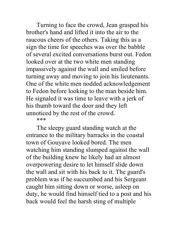Turning to face the crowd, Jean grasped his brother's hand and lifted it into the air to the raucous cheers of the others. Taking this as a sign the time for speeches was over the babble of several excited conversations burst out. Fedon looked over at the two white men standing impassively against the wall and smiled before turning away and moving to join his lieutenants. One of the white men nodded acknowledgement to Fedon before looking to the man beside him. He signaled it was time to leave with a jerk of his thumb toward the door and they left unnoticed by the rest of the crowd. \*\*\*

The sleepy guard standing watch at the entrance to the military barracks in the coastal town of Gouyave looked bored. The men watching him standing slumped against the wall of the building knew he likely had an almost overpowering desire to let himself slide down the wall and sit with his back to it. The guard's problem was if he succumbed and his Sergeant caught him sitting down or worse, asleep on duty, he would find himself tied to a post and his back would feel the harsh sting of multiple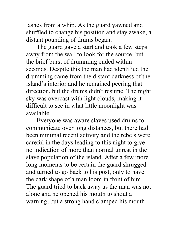lashes from a whip. As the guard yawned and shuffled to change his position and stay awake, a distant pounding of drums began.

The guard gave a start and took a few steps away from the wall to look for the source, but the brief burst of drumming ended within seconds. Despite this the man had identified the drumming came from the distant darkness of the island's interior and he remained peering that direction, but the drums didn't resume. The night sky was overcast with light clouds, making it difficult to see in what little moonlight was available.

Everyone was aware slaves used drums to communicate over long distances, but there had been minimal recent activity and the rebels were careful in the days leading to this night to give no indication of more than normal unrest in the slave population of the island. After a few more long moments to be certain the guard shrugged and turned to go back to his post, only to have the dark shape of a man loom in front of him. The guard tried to back away as the man was not alone and he opened his mouth to shout a warning, but a strong hand clamped his mouth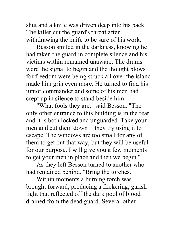shut and a knife was driven deep into his back. The killer cut the guard's throat after withdrawing the knife to be sure of his work.

Besson smiled in the darkness, knowing he had taken the guard in complete silence and his victims within remained unaware. The drums were the signal to begin and the thought blows for freedom were being struck all over the island made him grin even more. He turned to find his junior commander and some of his men had crept up in silence to stand beside him.

"What fools they are," said Besson. "The only other entrance to this building is in the rear and it is both locked and unguarded. Take your men and cut them down if they try using it to escape. The windows are too small for any of them to get out that way, but they will be useful for our purpose. I will give you a few moments to get your men in place and then we begin."

As they left Besson turned to another who had remained behind. "Bring the torches."

Within moments a burning torch was brought forward, producing a flickering, garish light that reflected off the dark pool of blood drained from the dead guard. Several other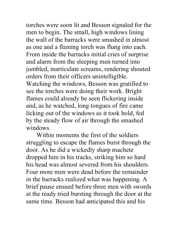torches were soon lit and Besson signaled for the men to begin. The small, high windows lining the wall of the barracks were smashed in almost as one and a flaming torch was flung into each. From inside the barracks initial cries of surprise and alarm from the sleeping men turned into jumbled, inarticulate screams, rendering shouted orders from their officers unintelligible. Watching the windows, Besson was gratified to see the torches were doing their work. Bright flames could already be seen flickering inside and, as he watched, long tongues of fire came licking out of the windows as it took hold, fed

by the steady flow of air through the smashed windows.

Within moments the first of the soldiers struggling to escape the flames burst through the door. As he did a wickedly sharp machete dropped him in his tracks, striking him so hard his head was almost severed from his shoulders. Four more men were dead before the remainder in the barracks realized what was happening. A brief pause ensued before three men with swords at the ready tried bursting through the door at the same time. Besson had anticipated this and his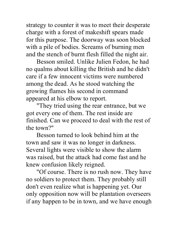strategy to counter it was to meet their desperate charge with a forest of makeshift spears made for this purpose. The doorway was soon blocked with a pile of bodies. Screams of burning men and the stench of burnt flesh filled the night air.

Besson smiled. Unlike Julien Fedon, he had no qualms about killing the British and he didn't care if a few innocent victims were numbered among the dead. As he stood watching the growing flames his second in command appeared at his elbow to report.

"They tried using the rear entrance, but we got every one of them. The rest inside are finished. Can we proceed to deal with the rest of the town?"

Besson turned to look behind him at the town and saw it was no longer in darkness. Several lights were visible to show the alarm was raised, but the attack had come fast and he knew confusion likely reigned.

"Of course. There is no rush now. They have no soldiers to protect them. They probably still don't even realize what is happening yet. Our only opposition now will be plantation overseers if any happen to be in town, and we have enough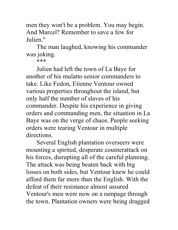men they won't be a problem. You may begin. And Marcel? Remember to save a few for Julien."

The man laughed, knowing his commander was joking.

\*\*\*

Julien had left the town of La Baye for another of his mulatto senior commanders to take. Like Fedon, Etienne Ventour owned various properties throughout the island, but only half the number of slaves of his commander. Despite his experience in giving orders and commanding men, the situation in La Baye was on the verge of chaos. People seeking orders were tearing Ventour in multiple directions.

Several English plantation overseers were mounting a spirited, desperate counterattack on his forces, disrupting all of the careful planning. The attack was being beaten back with big losses on both sides, but Ventour knew he could afford them far more than the English. With the defeat of their resistance almost assured Ventour's men were now on a rampage through the town. Plantation owners were being dragged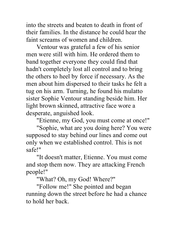into the streets and beaten to death in front of their families. In the distance he could hear the faint screams of women and children.

Ventour was grateful a few of his senior men were still with him. He ordered them to band together everyone they could find that hadn't completely lost all control and to bring the others to heel by force if necessary. As the men about him dispersed to their tasks he felt a tug on his arm. Turning, he found his mulatto sister Sophie Ventour standing beside him. Her light brown skinned, attractive face wore a desperate, anguished look.

"Etienne, my God, you must come at once!"

"Sophie, what are you doing here? You were supposed to stay behind our lines and come out only when we established control. This is not safe!"

"It doesn't matter, Etienne. You must come and stop them now. They are attacking French people!"

"What? Oh, my God! Where?"

"Follow me!" She pointed and began running down the street before he had a chance to hold her back.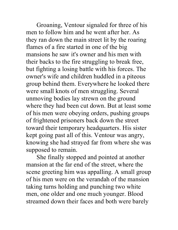Groaning, Ventour signaled for three of his men to follow him and he went after her. As they ran down the main street lit by the roaring flames of a fire started in one of the big mansions he saw it's owner and his men with their backs to the fire struggling to break free, but fighting a losing battle with his forces. The owner's wife and children huddled in a piteous group behind them. Everywhere he looked there were small knots of men struggling. Several unmoving bodies lay strewn on the ground where they had been cut down. But at least some of his men were obeying orders, pushing groups of frightened prisoners back down the street toward their temporary headquarters. His sister kept going past all of this. Ventour was angry, knowing she had strayed far from where she was supposed to remain.

She finally stopped and pointed at another mansion at the far end of the street, where the scene greeting him was appalling. A small group of his men were on the verandah of the mansion taking turns holding and punching two white men, one older and one much younger. Blood streamed down their faces and both were barely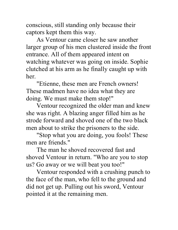conscious, still standing only because their captors kept them this way.

As Ventour came closer he saw another larger group of his men clustered inside the front entrance. All of them appeared intent on watching whatever was going on inside. Sophie clutched at his arm as he finally caught up with her.

"Etienne, these men are French owners! These madmen have no idea what they are doing. We must make them stop!"

Ventour recognized the older man and knew she was right. A blazing anger filled him as he strode forward and shoved one of the two black men about to strike the prisoners to the side.

"Stop what you are doing, you fools! These men are friends."

The man he shoved recovered fast and shoved Ventour in return. "Who are you to stop us? Go away or we will beat you too!"

Ventour responded with a crushing punch to the face of the man, who fell to the ground and did not get up. Pulling out his sword, Ventour pointed it at the remaining men.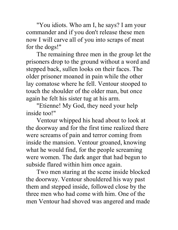"You idiots. Who am I, he says? I am your commander and if you don't release these men now I will carve all of you into scraps of meat for the dogs!"

The remaining three men in the group let the prisoners drop to the ground without a word and stepped back, sullen looks on their faces. The older prisoner moaned in pain while the other lay comatose where he fell. Ventour stooped to touch the shoulder of the older man, but once again he felt his sister tug at his arm.

"Etienne! My God, they need your help inside too!"

Ventour whipped his head about to look at the doorway and for the first time realized there were screams of pain and terror coming from inside the mansion. Ventour groaned, knowing what he would find, for the people screaming were women. The dark anger that had begun to subside flared within him once again.

Two men staring at the scene inside blocked the doorway. Ventour shouldered his way past them and stepped inside, followed close by the three men who had come with him. One of the men Ventour had shoved was angered and made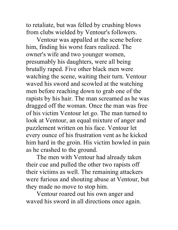to retaliate, but was felled by crushing blows from clubs wielded by Ventour's followers.

Ventour was appalled at the scene before him, finding his worst fears realized. The owner's wife and two younger women, presumably his daughters, were all being brutally raped. Five other black men were watching the scene, waiting their turn. Ventour waved his sword and scowled at the watching men before reaching down to grab one of the rapists by his hair. The man screamed as he was dragged off the woman. Once the man was free of his victim Ventour let go. The man turned to look at Ventour, an equal mixture of anger and puzzlement written on his face. Ventour let every ounce of his frustration vent as he kicked him hard in the groin. His victim howled in pain as he crashed to the ground.

The men with Ventour had already taken their cue and pulled the other two rapists off their victims as well. The remaining attackers were furious and shouting abuse at Ventour, but they made no move to stop him.

Ventour roared out his own anger and waved his sword in all directions once again.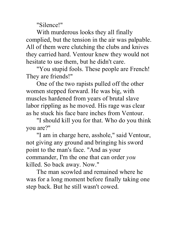"Silence!"

With murderous looks they all finally complied, but the tension in the air was palpable. All of them were clutching the clubs and knives they carried hard. Ventour knew they would not hesitate to use them, but he didn't care.

"You stupid fools. These people are French! They are friends!"

One of the two rapists pulled off the other women stepped forward. He was big, with muscles hardened from years of brutal slave labor rippling as he moved. His rage was clear as he stuck his face bare inches from Ventour.

"I should kill you for that. Who do you think you are?"

"I am in charge here, asshole," said Ventour, not giving any ground and bringing his sword point to the man's face. "And as your commander, I'm the one that can order *you* killed. So back away. Now."

The man scowled and remained where he was for a long moment before finally taking one step back. But he still wasn't cowed.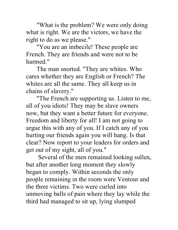"What is the problem? We were only doing what is right. We are the victors, we have the right to do as we please."

"You are an imbecile! These people are French. They are friends and were not to be harmed."

The man snorted. "They are whites. Who cares whether they are English or French? The whites are all the same. They all keep us in chains of slavery."

"The French are supporting us. Listen to me, all of you idiots! They may be slave owners now, but they want a better future for everyone. Freedom and liberty for all! I am not going to argue this with any of you. If I catch any of you hurting our friends again you will hang. Is that clear? Now report to your leaders for orders and get out of my sight, all of you."

Several of the men remained looking sullen, but after another long moment they slowly began to comply. Within seconds the only people remaining in the room were Ventour and the three victims. Two were curled into unmoving balls of pain where they lay while the third had managed to sit up, lying slumped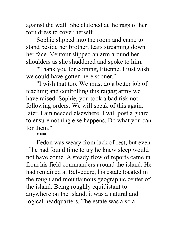against the wall. She clutched at the rags of her torn dress to cover herself.

Sophie slipped into the room and came to stand beside her brother, tears streaming down her face. Ventour slipped an arm around her shoulders as she shuddered and spoke to him.

"Thank you for coming, Etienne. I just wish we could have gotten here sooner."

"I wish that too. We must do a better job of teaching and controlling this ragtag army we have raised. Sophie, you took a bad risk not following orders. We will speak of this again, later. I am needed elsewhere. I will post a guard to ensure nothing else happens. Do what you can for them."

\*\*\*

Fedon was weary from lack of rest, but even if he had found time to try he knew sleep would not have come. A steady flow of reports came in from his field commanders around the island. He had remained at Belvedere, his estate located in the rough and mountainous geographic center of the island. Being roughly equidistant to anywhere on the island, it was a natural and logical headquarters. The estate was also a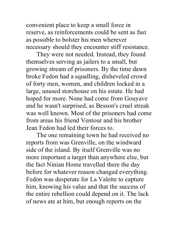convenient place to keep a small force in reserve, as reinforcements could be sent as fast as possible to bolster his men wherever necessary should they encounter stiff resistance.

They were not needed. Instead, they found themselves serving as jailers to a small, but growing stream of prisoners. By the time dawn broke Fedon had a squalling, disheveled crowd of forty men, women, and children locked in a large, unused storehouse on his estate. He had hoped for more. None had come from Gouyave and he wasn't surprised, as Besson's cruel streak was well known. Most of the prisoners had come from areas his friend Ventour and his brother Jean Fedon had led their forces to.

The one remaining town he had received no reports from was Grenville, on the windward side of the island. By itself Grenville was no more important a target than anywhere else, but the fact Ninian Home travelled there the day before for whatever reason changed everything. Fedon was desperate for La Valette to capture him, knowing his value and that the success of the entire rebellion could depend on it. The lack of news ate at him, but enough reports on the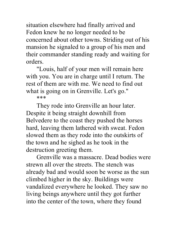situation elsewhere had finally arrived and Fedon knew he no longer needed to be concerned about other towns. Striding out of his mansion he signaled to a group of his men and their commander standing ready and waiting for orders.

"Louis, half of your men will remain here with you. You are in charge until I return. The rest of them are with me. We need to find out what is going on in Grenville. Let's go."

\*\*\*

They rode into Grenville an hour later. Despite it being straight downhill from Belvedere to the coast they pushed the horses hard, leaving them lathered with sweat. Fedon slowed them as they rode into the outskirts of the town and he sighed as he took in the destruction greeting them.

Grenville was a massacre. Dead bodies were strewn all over the streets. The stench was already bad and would soon be worse as the sun climbed higher in the sky. Buildings were vandalized everywhere he looked. They saw no living beings anywhere until they got further into the center of the town, where they found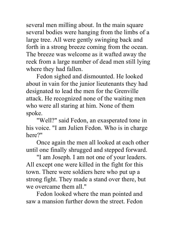several men milling about. In the main square several bodies were hanging from the limbs of a large tree. All were gently swinging back and forth in a strong breeze coming from the ocean. The breeze was welcome as it wafted away the reek from a large number of dead men still lying where they had fallen.

Fedon sighed and dismounted. He looked about in vain for the junior lieutenants they had designated to lead the men for the Grenville attack. He recognized none of the waiting men who were all staring at him. None of them spoke.

"Well?" said Fedon, an exasperated tone in his voice. "I am Julien Fedon. Who is in charge here?"

Once again the men all looked at each other until one finally shrugged and stepped forward.

"I am Joseph. I am not one of your leaders. All except one were killed in the fight for this town. There were soldiers here who put up a strong fight. They made a stand over there, but we overcame them all."

Fedon looked where the man pointed and saw a mansion further down the street. Fedon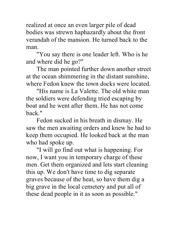realized at once an even larger pile of dead bodies was strewn haphazardly about the front verandah of the mansion. He turned back to the man.

"You say there is one leader left. Who is he and where did he go?"

The man pointed further down another street at the ocean shimmering in the distant sunshine, where Fedon knew the town docks were located.

"His name is La Valette. The old white man the soldiers were defending tried escaping by boat and he went after them. He has not come back."

Fedon sucked in his breath in dismay. He saw the men awaiting orders and knew he had to keep them occupied. He looked back at the man who had spoke up.

"I will go find out what is happening. For now, I want you in temporary charge of these men. Get them organized and lets start cleaning this up. We don't have time to dig separate graves because of the heat, so have them dig a big grave in the local cemetery and put all of these dead people in it as soon as possible."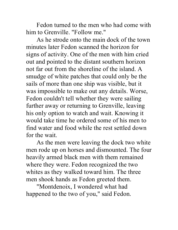Fedon turned to the men who had come with him to Grenville. "Follow me."

As he strode onto the main dock of the town minutes later Fedon scanned the horizon for signs of activity. One of the men with him cried out and pointed to the distant southern horizon not far out from the shoreline of the island. A smudge of white patches that could only be the sails of more than one ship was visible, but it was impossible to make out any details. Worse, Fedon couldn't tell whether they were sailing further away or returning to Grenville, leaving his only option to watch and wait. Knowing it would take time he ordered some of his men to find water and food while the rest settled down for the wait.

As the men were leaving the dock two white men rode up on horses and dismounted. The four heavily armed black men with them remained where they were. Fedon recognized the two whites as they walked toward him. The three men shook hands as Fedon greeted them.

"Montdenoix, I wondered what had happened to the two of you," said Fedon.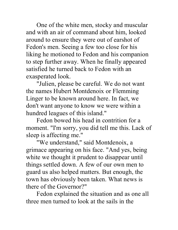One of the white men, stocky and muscular and with an air of command about him, looked around to ensure they were out of earshot of Fedon's men. Seeing a few too close for his liking he motioned to Fedon and his companion to step further away. When he finally appeared satisfied he turned back to Fedon with an exasperated look.

"Julien, please be careful. We do not want the names Hubert Montdenoix or Flemming Linger to be known around here. In fact, we don't want anyone to know we were within a hundred leagues of this island."

Fedon bowed his head in contrition for a moment. "I'm sorry, you did tell me this. Lack of sleep is affecting me."

"We understand," said Montdenoix, a grimace appearing on his face. "And yes, being white we thought it prudent to disappear until things settled down. A few of our own men to guard us also helped matters. But enough, the town has obviously been taken. What news is there of the Governor?"

Fedon explained the situation and as one all three men turned to look at the sails in the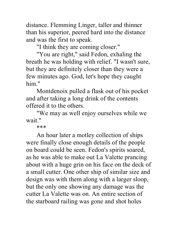distance. Flemming Linger, taller and thinner than his superior, peered hard into the distance and was the first to speak.

"I think they are coming closer."

"You are right," said Fedon, exhaling the breath he was holding with relief. "I wasn't sure, but they are definitely closer than they were a few minutes ago. God, let's hope they caught him."

Montdenoix pulled a flask out of his pocket and after taking a long drink of the contents offered it to the others.

"We may as well enjoy ourselves while we wait."

\*\*\*

An hour later a motley collection of ships were finally close enough details of the people on board could be seen. Fedon's spirits soared, as he was able to make out La Valette prancing about with a huge grin on his face on the deck of a small cutter. One other ship of similar size and design was with them along with a larger sloop, but the only one showing any damage was the cutter La Valette was on. An entire section of the starboard railing was gone and shot holes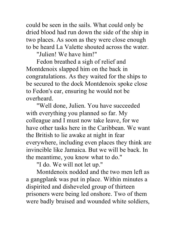could be seen in the sails. What could only be dried blood had run down the side of the ship in two places. As soon as they were close enough to be heard La Valette shouted across the water.

"Julien! We have him!"

Fedon breathed a sigh of relief and Montdenoix slapped him on the back in congratulations. As they waited for the ships to be secured to the dock Montdenoix spoke close to Fedon's ear, ensuring he would not be overheard.

"Well done, Julien. You have succeeded with everything you planned so far. My colleague and I must now take leave, for we have other tasks here in the Caribbean. We want the British to lie awake at night in fear everywhere, including even places they think are invincible like Jamaica. But we will be back. In the meantime, you know what to do."

"I do. We will not let up."

Montdenoix nodded and the two men left as a gangplank was put in place. Within minutes a dispirited and disheveled group of thirteen prisoners were being led onshore. Two of them were badly bruised and wounded white soldiers,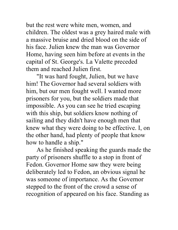but the rest were white men, women, and children. The oldest was a grey haired male with a massive bruise and dried blood on the side of his face. Julien knew the man was Governor Home, having seen him before at events in the capital of St. George's. La Valette preceded them and reached Julien first.

"It was hard fought, Julien, but we have him! The Governor had several soldiers with him, but our men fought well. I wanted more prisoners for you, but the soldiers made that impossible. As you can see he tried escaping with this ship, but soldiers know nothing of sailing and they didn't have enough men that knew what they were doing to be effective. I, on the other hand, had plenty of people that know how to handle a ship."

As he finished speaking the guards made the party of prisoners shuffle to a stop in front of Fedon. Governor Home saw they were being deliberately led to Fedon, an obvious signal he was someone of importance. As the Governor stepped to the front of the crowd a sense of recognition of appeared on his face. Standing as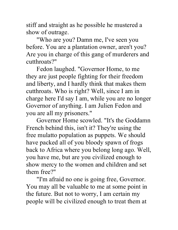stiff and straight as he possible he mustered a show of outrage.

"Who are you? Damn me, I've seen you before. You are a plantation owner, aren't you? Are you in charge of this gang of murderers and cutthroats?"

Fedon laughed. "Governor Home, to me they are just people fighting for their freedom and liberty, and I hardly think that makes them cutthroats. Who is right? Well, since I am in charge here I'd say I am, while you are no longer Governor of anything. I am Julien Fedon and you are all my prisoners."

Governor Home scowled. "It's the Goddamn French behind this, isn't it? They're using the free mulatto population as puppets. We should have packed all of you bloody spawn of frogs back to Africa where you belong long ago. Well, you have me, but are you civilized enough to show mercy to the women and children and set them free?"

"I'm afraid no one is going free, Governor. You may all be valuable to me at some point in the future. But not to worry, I am certain my people will be civilized enough to treat them at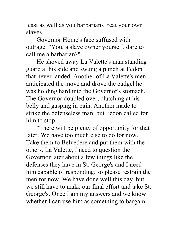least as well as you barbarians treat your own slaves."

Governor Home's face suffused with outrage. "You, a slave owner yourself, dare to call me a barbarian?"

He shoved away La Valette's man standing guard at his side and swung a punch at Fedon that never landed. Another of La Valette's men anticipated the move and drove the cudgel he was holding hard into the Governor's stomach. The Governor doubled over, clutching at his belly and gasping in pain. Another made to strike the defenseless man, but Fedon called for him to stop.

"There will be plenty of opportunity for that later. We have too much else to do for now. Take them to Belvedere and put them with the others. La Valette, I need to question the Governor later about a few things like the defenses they have in St. George's and I need him capable of responding, so please restrain the men for now. We have done well this day, but we still have to make our final effort and take St. George's. Once I am my answers and we know whether I can use him as something to bargain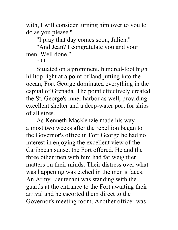with, I will consider turning him over to you to do as you please."

"I pray that day comes soon, Julien."

"And Jean? I congratulate you and your men. Well done."

\*\*\*

Situated on a prominent, hundred-foot high hilltop right at a point of land jutting into the ocean, Fort George dominated everything in the capital of Grenada. The point effectively created the St. George's inner harbor as well, providing excellent shelter and a deep-water port for ships of all sizes.

As Kenneth MacKenzie made his way almost two weeks after the rebellion began to the Governor's office in Fort George he had no interest in enjoying the excellent view of the Caribbean sunset the Fort offered. He and the three other men with him had far weightier matters on their minds. Their distress over what was happening was etched in the men's faces. An Army Lieutenant was standing with the guards at the entrance to the Fort awaiting their arrival and he escorted them direct to the Governor's meeting room. Another officer was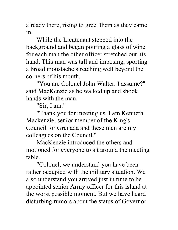already there, rising to greet them as they came in.

While the Lieutenant stepped into the background and began pouring a glass of wine for each man the other officer stretched out his hand. This man was tall and imposing, sporting a broad moustache stretching well beyond the corners of his mouth.

"You are Colonel John Walter, I assume?" said MacKenzie as he walked up and shook hands with the man.

"Sir, I am."

"Thank you for meeting us. I am Kenneth Mackenzie, senior member of the King's Council for Grenada and these men are my colleagues on the Council."

MacKenzie introduced the others and motioned for everyone to sit around the meeting table.

"Colonel, we understand you have been rather occupied with the military situation. We also understand you arrived just in time to be appointed senior Army officer for this island at the worst possible moment. But we have heard disturbing rumors about the status of Governor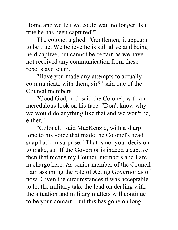Home and we felt we could wait no longer. Is it true he has been captured?"

The colonel sighed. "Gentlemen, it appears to be true. We believe he is still alive and being held captive, but cannot be certain as we have not received any communication from these rebel slave scum."

"Have you made any attempts to actually communicate with them, sir?" said one of the Council members.

"Good God, no," said the Colonel, with an incredulous look on his face. "Don't know why we would do anything like that and we won't be, either."

"Colonel," said MacKenzie, with a sharp tone to his voice that made the Colonel's head snap back in surprise. "That is not your decision to make, sir. If the Governor is indeed a captive then that means my Council members and I are in charge here. As senior member of the Council I am assuming the role of Acting Governor as of now. Given the circumstances it was acceptable to let the military take the lead on dealing with the situation and military matters will continue to be your domain. But this has gone on long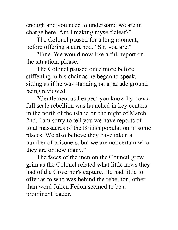enough and you need to understand we are in charge here. Am I making myself clear?"

The Colonel paused for a long moment, before offering a curt nod. "Sir, you are."

"Fine. We would now like a full report on the situation, please."

The Colonel paused once more before stiffening in his chair as he began to speak, sitting as if he was standing on a parade ground being reviewed.

"Gentlemen, as I expect you know by now a full scale rebellion was launched in key centers in the north of the island on the night of March 2nd. I am sorry to tell you we have reports of total massacres of the British population in some places. We also believe they have taken a number of prisoners, but we are not certain who they are or how many."

The faces of the men on the Council grew grim as the Colonel related what little news they had of the Governor's capture. He had little to offer as to who was behind the rebellion, other than word Julien Fedon seemed to be a prominent leader.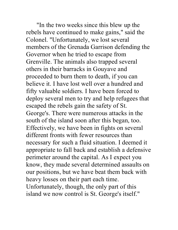"In the two weeks since this blew up the rebels have continued to make gains," said the Colonel. "Unfortunately, we lost several members of the Grenada Garrison defending the Governor when he tried to escape from Grenville. The animals also trapped several others in their barracks in Gouyave and proceeded to burn them to death, if you can believe it. I have lost well over a hundred and fifty valuable soldiers. I have been forced to deploy several men to try and help refugees that escaped the rebels gain the safety of St. George's. There were numerous attacks in the south of the island soon after this began, too. Effectively, we have been in fights on several different fronts with fewer resources than necessary for such a fluid situation. I deemed it appropriate to fall back and establish a defensive perimeter around the capital. As I expect you know, they made several determined assaults on our positions, but we have beat them back with heavy losses on their part each time. Unfortunately, though, the only part of this island we now control is St. George's itself."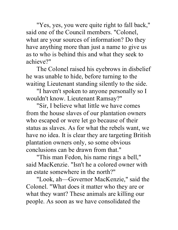"Yes, yes, you were quite right to fall back," said one of the Council members. "Colonel, what are your sources of information? Do they have anything more than just a name to give us as to who is behind this and what they seek to achieve?"

The Colonel raised his eyebrows in disbelief he was unable to hide, before turning to the waiting Lieutenant standing silently to the side.

"I haven't spoken to anyone personally so I wouldn't know. Lieutenant Ramsay?"

"Sir, I believe what little we have comes from the house slaves of our plantation owners who escaped or were let go because of their status as slaves. As for what the rebels want, we have no idea. It is clear they are targeting British plantation owners only, so some obvious conclusions can be drawn from that."

"This man Fedon, his name rings a bell," said MacKenzie. "Isn't he a colored owner with an estate somewhere in the north?"

"Look, ah—Governor MacKenzie," said the Colonel. "What does it matter who they are or what they want? These animals are killing our people. As soon as we have consolidated the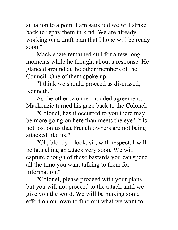situation to a point I am satisfied we will strike back to repay them in kind. We are already working on a draft plan that I hope will be ready soon."

MacKenzie remained still for a few long moments while he thought about a response. He glanced around at the other members of the Council. One of them spoke up.

"I think we should proceed as discussed, Kenneth."

As the other two men nodded agreement, Mackenzie turned his gaze back to the Colonel.

"Colonel, has it occurred to you there may be more going on here than meets the eye? It is not lost on us that French owners are not being attacked like us."

"Oh, bloody—look, sir, with respect. I will be launching an attack very soon. We will capture enough of these bastards you can spend all the time you want talking to them for information."

"Colonel, please proceed with your plans, but you will not proceed to the attack until we give you the word. We will be making some effort on our own to find out what we want to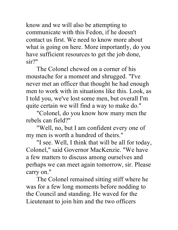know and we will also be attempting to communicate with this Fedon, if he doesn't contact us first. We need to know more about what is going on here. More importantly, do you have sufficient resources to get the job done, sir?"

The Colonel chewed on a corner of his moustache for a moment and shrugged. "I've never met an officer that thought he had enough men to work with in situations like this. Look, as I told you, we've lost some men, but overall I'm quite certain we will find a way to make do."

"Colonel, do you know how many men the rebels can field?"

"Well, no, but I am confident every one of my men is worth a hundred of theirs."

"I see. Well, I think that will be all for today, Colonel," said Governor MacKenzie. "We have a few matters to discuss among ourselves and perhaps we can meet again tomorrow, sir. Please carry on."

The Colonel remained sitting stiff where he was for a few long moments before nodding to the Council and standing. He waved for the Lieutenant to join him and the two officers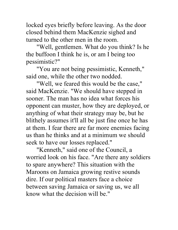locked eyes briefly before leaving. As the door closed behind them MacKenzie sighed and turned to the other men in the room.

"Well, gentlemen. What do you think? Is he the buffoon I think he is, or am I being too pessimistic?"

"You are not being pessimistic, Kenneth," said one, while the other two nodded.

"Well, we feared this would be the case," said MacKenzie. "We should have stepped in sooner. The man has no idea what forces his opponent can muster, how they are deployed, or anything of what their strategy may be, but he blithely assumes it'll all be just fine once he has at them. I fear there are far more enemies facing us than he thinks and at a minimum we should seek to have our losses replaced."

"Kenneth," said one of the Council, a worried look on his face. "Are there any soldiers to spare anywhere? This situation with the Maroons on Jamaica growing restive sounds dire. If our political masters face a choice between saving Jamaica or saving us, we all know what the decision will be."